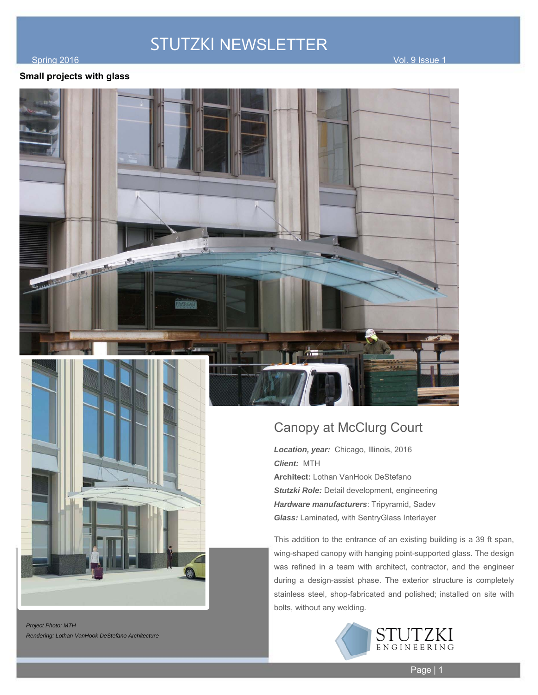#### of the spring 2016 Contract of the state of the state of the state of the state of the state of the state of the state of the state of the state of the state of the state of the state of the state of the state of the state

#### **Small projects with glass**





*Project Photo: MTH Rendering: Lothan VanHook DeStefano Architecture* 

### Canopy at McClurg Court

*Location, year:* Chicago, Illinois, 2016 *Client:* MTH **Architect:** Lothan VanHook DeStefano *Stutzki Role:* Detail development, engineering *Hardware manufacturers*: Tripyramid, Sadev *Glass:* Laminated*,* with SentryGlass Interlayer

This addition to the entrance of an existing building is a 39 ft span, wing-shaped canopy with hanging point-supported glass. The design was refined in a team with architect, contractor, and the engineer during a design-assist phase. The exterior structure is completely stainless steel, shop-fabricated and polished; installed on site with bolts, without any welding.

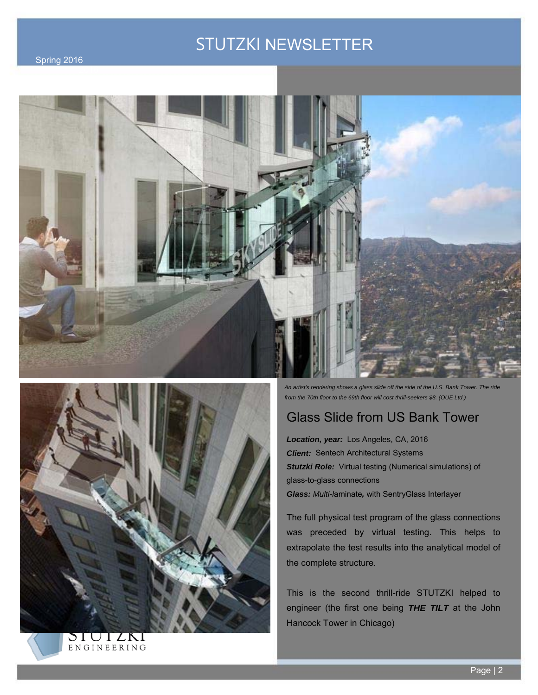





SIUIZKI ENGINEERING *An artist's rendering shows a glass slide off the side of the U.S. Bank Tower. The ride from the 70th floor to the 69th floor will cost thrill-seekers \$8. (OUE Ltd.)* 

## Glass Slide from US Bank Tower

*Location, year:* Los Angeles, CA, 2016 *Client:* Sentech Architectural Systems **Stutzki Role:** Virtual testing (Numerical simulations) of glass-to-glass connections *Glass: Multi-l*aminate*,* with SentryGlass Interlayer

The full physical test program of the glass connections was preceded by virtual testing. This helps to extrapolate the test results into the analytical model of the complete structure.

This is the second thrill-ride STUTZKI helped to engineer (the first one being *THE TILT* at the John Hancock Tower in Chicago)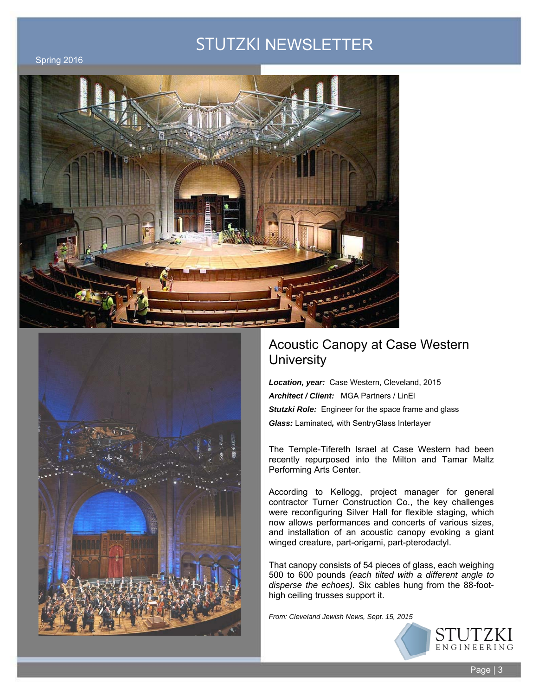Spring 2016





### Acoustic Canopy at Case Western **University**

*Location, year:* Case Western, Cleveland, 2015 *Architect / Client:* MGA Partners / LinEl *Stutzki Role:* Engineer for the space frame and glass *Glass:* Laminated*,* with SentryGlass Interlayer

The Temple-Tifereth Israel at Case Western had been recently repurposed into the Milton and Tamar Maltz Performing Arts Center.

According to Kellogg, project manager for general contractor Turner Construction Co., the key challenges were reconfiguring Silver Hall for flexible staging, which now allows performances and concerts of various sizes, and installation of an acoustic canopy evoking a giant winged creature, part-origami, part-pterodactyl.

That canopy consists of 54 pieces of glass, each weighing 500 to 600 pounds *(each tilted with a different angle to disperse the echoes).* Six cables hung from the 88-foothigh ceiling trusses support it.

*From: Cleveland Jewish News, Sept. 15, 2015*

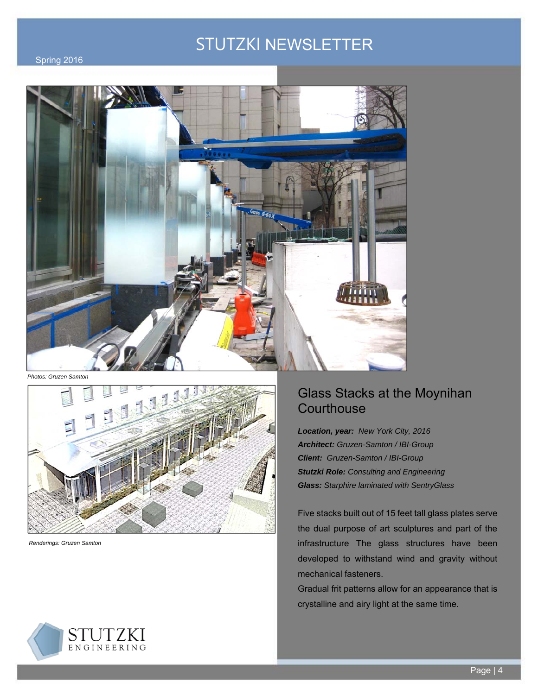

*Photos: Gruzen Samton* 



*Renderings: Gruzen Samton* 

### Glass Stacks at the Moynihan **Courthouse**

*Location, year: New York City, 2016 Architect: Gruzen-Samton / IBI-Group Client: Gruzen-Samton / IBI-Group Stutzki Role: Consulting and Engineering Glass: Starphire laminated with SentryGlass* 

Five stacks built out of 15 feet tall glass plates serve the dual purpose of art sculptures and part of the infrastructure The glass structures have been developed to withstand wind and gravity without mechanical fasteners.

Gradual frit patterns allow for an appearance that is crystalline and airy light at the same time.